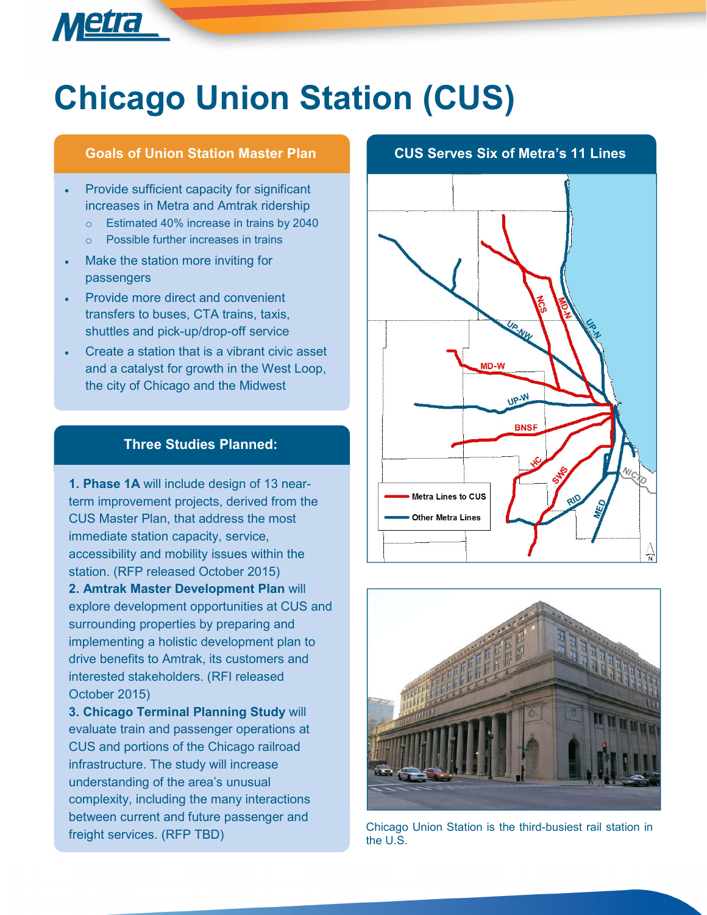# **Chicago Union Station (CUS)**

- Provide sufficient capacity for significant increases in Metra and Amtrak ridership
	- o Estimated 40% increase in trains by 2040
	- o Possible further increases in trains
- Make the station more inviting for passengers

Metra

- Provide more direct and convenient transfers to buses, CTA trains, taxis, shuttles and pick-up/drop-off service
- Create a station that is a vibrant civic asset and a catalyst for growth in the West Loop, the city of Chicago and the Midwest

#### **Three Studies Planned:**

**1. Phase 1A** will include design of 13 nearterm improvement projects, derived from the CUS Master Plan, that address the most immediate station capacity, service, accessibility and mobility issues within the station. (RFP released October 2015) **2. Amtrak Master Development Plan** will explore development opportunities at CUS and surrounding properties by preparing and implementing a holistic development plan to drive benefits to Amtrak, its customers and interested stakeholders. (RFI released October 2015)

**3. Chicago Terminal Planning Study** will evaluate train and passenger operations at CUS and portions of the Chicago railroad infrastructure. The study will increase understanding of the area's unusual complexity, including the many interactions between current and future passenger and

### **Goals of Union Station Master Plan CUS Serves Six of Metra's 11 Lines**





freight services. (RFP TBD) Chicago Union Station is the third-busiest rail station in the U.S.